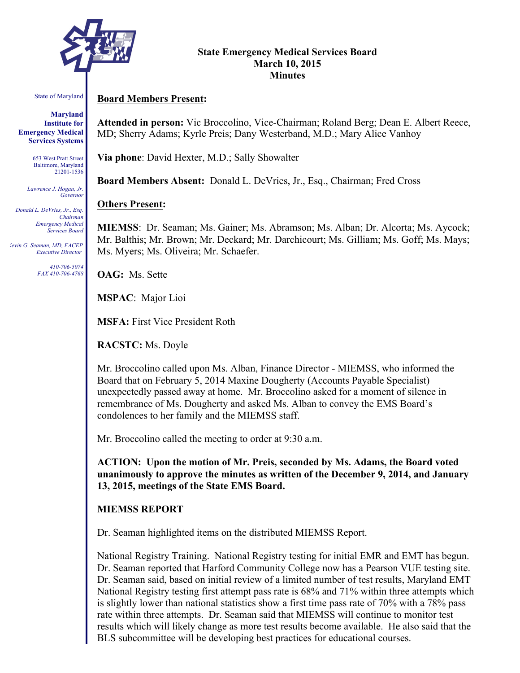

#### **State Emergency Medical Services Board March 10, 2015 Minutes**

#### State of Maryland

**Maryland Institute for Emergency Medical Services Systems**

> 653 West Pratt Street Baltimore, Maryland 21201-1536

*Lawrence J. Hogan, Jr. Governor*

*Donald L. DeVries, Jr., Esq. Chairman Emergency Medical Services Board*

*Kevin G. Seaman, MD, FACEP Executive Director*

> *410-706-5074 FAX 410-706-4768*

## **Board Members Present:**

**Attended in person:** Vic Broccolino, Vice-Chairman; Roland Berg; Dean E. Albert Reece, MD; Sherry Adams; Kyrle Preis; Dany Westerband, M.D.; Mary Alice Vanhoy

**Via phone**: David Hexter, M.D.; Sally Showalter

**Board Members Absent:** Donald L. DeVries, Jr., Esq., Chairman; Fred Cross

## **Others Present:**

**MIEMSS**: Dr. Seaman; Ms. Gainer; Ms. Abramson; Ms. Alban; Dr. Alcorta; Ms. Aycock; Mr. Balthis; Mr. Brown; Mr. Deckard; Mr. Darchicourt; Ms. Gilliam; Ms. Goff; Ms. Mays; Ms. Myers; Ms. Oliveira; Mr. Schaefer.

**OAG:** Ms. Sette

**MSPAC**: Major Lioi

**MSFA:** First Vice President Roth

**RACSTC:** Ms. Doyle

Mr. Broccolino called upon Ms. Alban, Finance Director - MIEMSS, who informed the Board that on February 5, 2014 Maxine Dougherty (Accounts Payable Specialist) unexpectedly passed away at home. Mr. Broccolino asked for a moment of silence in remembrance of Ms. Dougherty and asked Ms. Alban to convey the EMS Board's condolences to her family and the MIEMSS staff.

Mr. Broccolino called the meeting to order at 9:30 a.m.

**ACTION: Upon the motion of Mr. Preis, seconded by Ms. Adams, the Board voted unanimously to approve the minutes as written of the December 9, 2014, and January 13, 2015, meetings of the State EMS Board.**

## **MIEMSS REPORT**

Dr. Seaman highlighted items on the distributed MIEMSS Report.

National Registry Training. National Registry testing for initial EMR and EMT has begun. Dr. Seaman reported that Harford Community College now has a Pearson VUE testing site. Dr. Seaman said, based on initial review of a limited number of test results, Maryland EMT National Registry testing first attempt pass rate is 68% and 71% within three attempts which is slightly lower than national statistics show a first time pass rate of 70% with a 78% pass rate within three attempts. Dr. Seaman said that MIEMSS will continue to monitor test results which will likely change as more test results become available. He also said that the BLS subcommittee will be developing best practices for educational courses.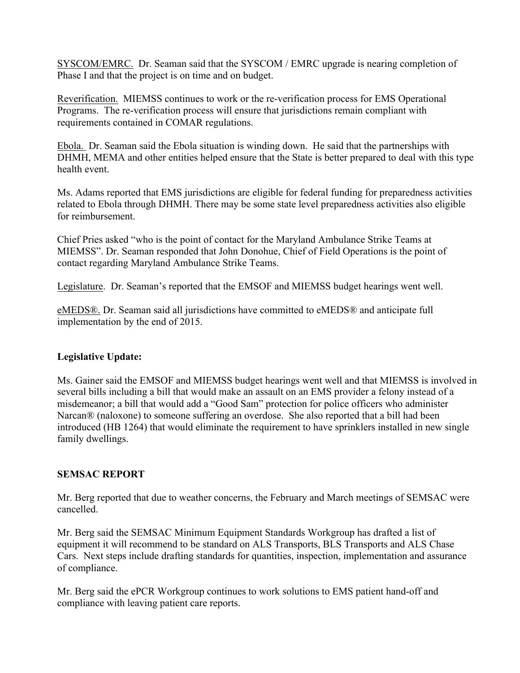SYSCOM/EMRC. Dr. Seaman said that the SYSCOM / EMRC upgrade is nearing completion of Phase I and that the project is on time and on budget.

Reverification. MIEMSS continues to work or the re-verification process for EMS Operational Programs. The re-verification process will ensure that jurisdictions remain compliant with requirements contained in COMAR regulations.

Ebola. Dr. Seaman said the Ebola situation is winding down. He said that the partnerships with DHMH, MEMA and other entities helped ensure that the State is better prepared to deal with this type health event.

Ms. Adams reported that EMS jurisdictions are eligible for federal funding for preparedness activities related to Ebola through DHMH. There may be some state level preparedness activities also eligible for reimbursement.

Chief Pries asked "who is the point of contact for the Maryland Ambulance Strike Teams at MIEMSS". Dr. Seaman responded that John Donohue, Chief of Field Operations is the point of contact regarding Maryland Ambulance Strike Teams.

Legislature. Dr. Seaman's reported that the EMSOF and MIEMSS budget hearings went well.

eMEDS®. Dr. Seaman said all jurisdictions have committed to eMEDS® and anticipate full implementation by the end of 2015.

## **Legislative Update:**

Ms. Gainer said the EMSOF and MIEMSS budget hearings went well and that MIEMSS is involved in several bills including a bill that would make an assault on an EMS provider a felony instead of a misdemeanor; a bill that would add a "Good Sam" protection for police officers who administer Narcan® (naloxone) to someone suffering an overdose. She also reported that a bill had been introduced (HB 1264) that would eliminate the requirement to have sprinklers installed in new single family dwellings.

## **SEMSAC REPORT**

Mr. Berg reported that due to weather concerns, the February and March meetings of SEMSAC were cancelled.

Mr. Berg said the SEMSAC Minimum Equipment Standards Workgroup has drafted a list of equipment it will recommend to be standard on ALS Transports, BLS Transports and ALS Chase Cars. Next steps include drafting standards for quantities, inspection, implementation and assurance of compliance.

Mr. Berg said the ePCR Workgroup continues to work solutions to EMS patient hand-off and compliance with leaving patient care reports.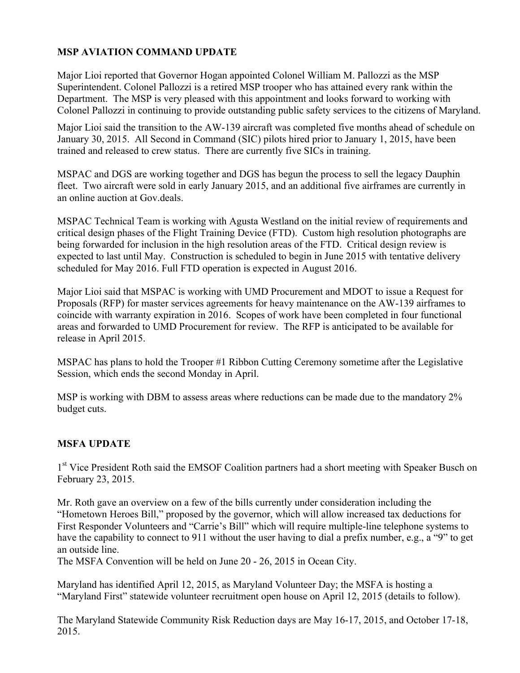# **MSP AVIATION COMMAND UPDATE**

Major Lioi reported that Governor Hogan appointed Colonel William M. Pallozzi as the MSP Superintendent. Colonel Pallozzi is a retired MSP trooper who has attained every rank within the Department. The MSP is very pleased with this appointment and looks forward to working with Colonel Pallozzi in continuing to provide outstanding public safety services to the citizens of Maryland.

Major Lioi said the transition to the AW-139 aircraft was completed five months ahead of schedule on January 30, 2015. All Second in Command (SIC) pilots hired prior to January 1, 2015, have been trained and released to crew status. There are currently five SICs in training.

MSPAC and DGS are working together and DGS has begun the process to sell the legacy Dauphin fleet. Two aircraft were sold in early January 2015, and an additional five airframes are currently in an online auction at Gov.deals.

MSPAC Technical Team is working with Agusta Westland on the initial review of requirements and critical design phases of the Flight Training Device (FTD). Custom high resolution photographs are being forwarded for inclusion in the high resolution areas of the FTD. Critical design review is expected to last until May. Construction is scheduled to begin in June 2015 with tentative delivery scheduled for May 2016. Full FTD operation is expected in August 2016.

Major Lioi said that MSPAC is working with UMD Procurement and MDOT to issue a Request for Proposals (RFP) for master services agreements for heavy maintenance on the AW-139 airframes to coincide with warranty expiration in 2016. Scopes of work have been completed in four functional areas and forwarded to UMD Procurement for review. The RFP is anticipated to be available for release in April 2015.

MSPAC has plans to hold the Trooper #1 Ribbon Cutting Ceremony sometime after the Legislative Session, which ends the second Monday in April.

MSP is working with DBM to assess areas where reductions can be made due to the mandatory 2% budget cuts.

# **MSFA UPDATE**

1<sup>st</sup> Vice President Roth said the EMSOF Coalition partners had a short meeting with Speaker Busch on February 23, 2015.

Mr. Roth gave an overview on a few of the bills currently under consideration including the "Hometown Heroes Bill," proposed by the governor, which will allow increased tax deductions for First Responder Volunteers and "Carrie's Bill" which will require multiple-line telephone systems to have the capability to connect to 911 without the user having to dial a prefix number, e.g., a "9" to get an outside line.

The MSFA Convention will be held on June 20 - 26, 2015 in Ocean City.

Maryland has identified April 12, 2015, as Maryland Volunteer Day; the MSFA is hosting a "Maryland First" statewide volunteer recruitment open house on April 12, 2015 (details to follow).

The Maryland Statewide Community Risk Reduction days are May 16-17, 2015, and October 17-18, 2015.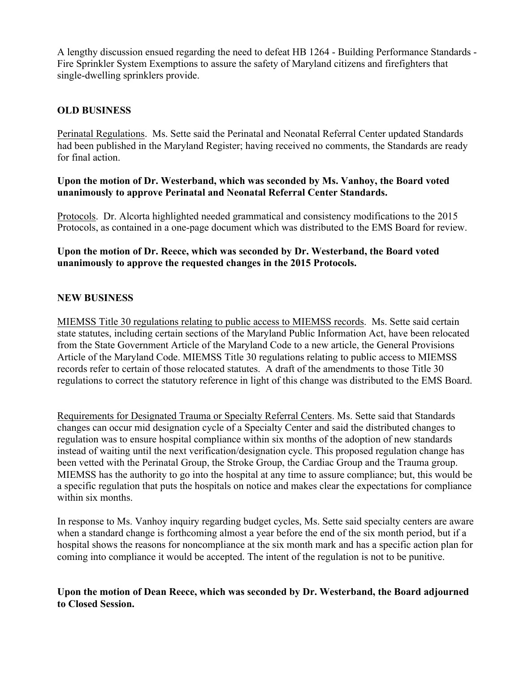A lengthy discussion ensued regarding the need to defeat HB 1264 - Building Performance Standards - Fire Sprinkler System Exemptions to assure the safety of Maryland citizens and firefighters that single-dwelling sprinklers provide.

## **OLD BUSINESS**

Perinatal Regulations. Ms. Sette said the Perinatal and Neonatal Referral Center updated Standards had been published in the Maryland Register; having received no comments, the Standards are ready for final action.

## **Upon the motion of Dr. Westerband, which was seconded by Ms. Vanhoy, the Board voted unanimously to approve Perinatal and Neonatal Referral Center Standards.**

Protocols. Dr. Alcorta highlighted needed grammatical and consistency modifications to the 2015 Protocols, as contained in a one-page document which was distributed to the EMS Board for review.

## **Upon the motion of Dr. Reece, which was seconded by Dr. Westerband, the Board voted unanimously to approve the requested changes in the 2015 Protocols.**

## **NEW BUSINESS**

MIEMSS Title 30 regulations relating to public access to MIEMSS records. Ms. Sette said certain state statutes, including certain sections of the Maryland Public Information Act, have been relocated from the State Government Article of the Maryland Code to a new article, the General Provisions Article of the Maryland Code. MIEMSS Title 30 regulations relating to public access to MIEMSS records refer to certain of those relocated statutes. A draft of the amendments to those Title 30 regulations to correct the statutory reference in light of this change was distributed to the EMS Board.

Requirements for Designated Trauma or Specialty Referral Centers. Ms. Sette said that Standards changes can occur mid designation cycle of a Specialty Center and said the distributed changes to regulation was to ensure hospital compliance within six months of the adoption of new standards instead of waiting until the next verification/designation cycle. This proposed regulation change has been vetted with the Perinatal Group, the Stroke Group, the Cardiac Group and the Trauma group. MIEMSS has the authority to go into the hospital at any time to assure compliance; but, this would be a specific regulation that puts the hospitals on notice and makes clear the expectations for compliance within six months.

In response to Ms. Vanhoy inquiry regarding budget cycles, Ms. Sette said specialty centers are aware when a standard change is forthcoming almost a year before the end of the six month period, but if a hospital shows the reasons for noncompliance at the six month mark and has a specific action plan for coming into compliance it would be accepted. The intent of the regulation is not to be punitive.

## **Upon the motion of Dean Reece, which was seconded by Dr. Westerband, the Board adjourned to Closed Session.**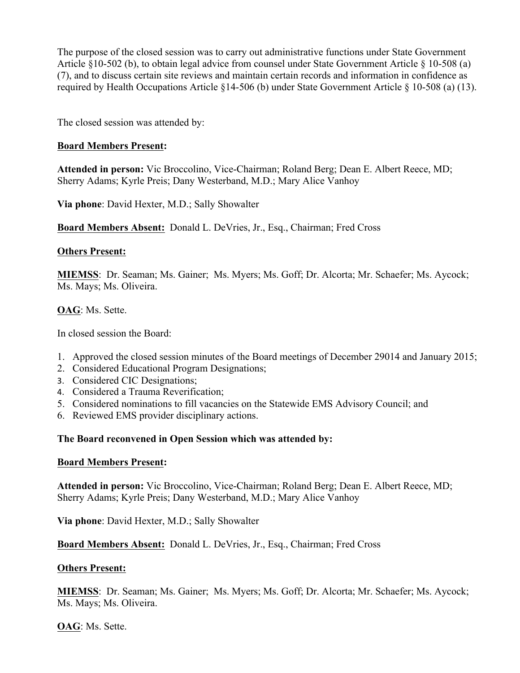The purpose of the closed session was to carry out administrative functions under State Government Article §10-502 (b), to obtain legal advice from counsel under State Government Article § 10-508 (a) (7), and to discuss certain site reviews and maintain certain records and information in confidence as required by Health Occupations Article §14-506 (b) under State Government Article § 10-508 (a) (13).

The closed session was attended by:

## **Board Members Present:**

**Attended in person:** Vic Broccolino, Vice-Chairman; Roland Berg; Dean E. Albert Reece, MD; Sherry Adams; Kyrle Preis; Dany Westerband, M.D.; Mary Alice Vanhoy

**Via phone**: David Hexter, M.D.; Sally Showalter

**Board Members Absent:** Donald L. DeVries, Jr., Esq., Chairman; Fred Cross

## **Others Present:**

**MIEMSS**: Dr. Seaman; Ms. Gainer; Ms. Myers; Ms. Goff; Dr. Alcorta; Mr. Schaefer; Ms. Aycock; Ms. Mays; Ms. Oliveira.

## **OAG**: Ms. Sette.

In closed session the Board:

- 1. Approved the closed session minutes of the Board meetings of December 29014 and January 2015;
- 2. Considered Educational Program Designations;
- 3. Considered CIC Designations;
- 4. Considered a Trauma Reverification;
- 5. Considered nominations to fill vacancies on the Statewide EMS Advisory Council; and
- 6. Reviewed EMS provider disciplinary actions.

## **The Board reconvened in Open Session which was attended by:**

#### **Board Members Present:**

**Attended in person:** Vic Broccolino, Vice-Chairman; Roland Berg; Dean E. Albert Reece, MD; Sherry Adams; Kyrle Preis; Dany Westerband, M.D.; Mary Alice Vanhoy

**Via phone**: David Hexter, M.D.; Sally Showalter

**Board Members Absent:** Donald L. DeVries, Jr., Esq., Chairman; Fred Cross

#### **Others Present:**

**MIEMSS**: Dr. Seaman; Ms. Gainer; Ms. Myers; Ms. Goff; Dr. Alcorta; Mr. Schaefer; Ms. Aycock; Ms. Mays; Ms. Oliveira.

**OAG**: Ms. Sette.